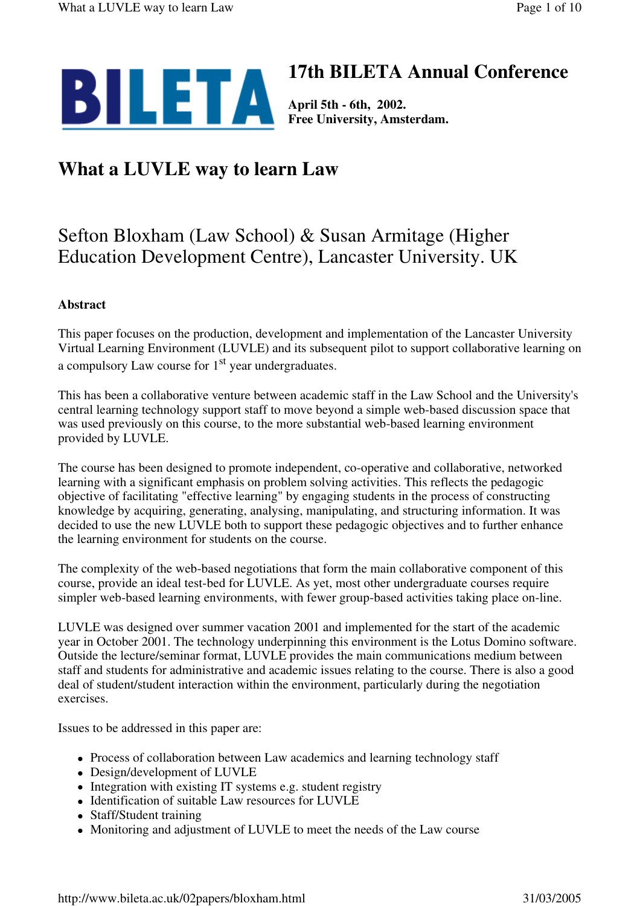

# **17th BILETA Annual Conference**

**April 5th - 6th, 2002. Free University, Amsterdam.**

## **What a LUVLE way to learn Law**

## Sefton Bloxham (Law School) & Susan Armitage (Higher Education Development Centre), Lancaster University. UK

## **Abstract**

This paper focuses on the production, development and implementation of the Lancaster University Virtual Learning Environment (LUVLE) and its subsequent pilot to support collaborative learning on a compulsory Law course for  $1<sup>st</sup>$  year undergraduates.

This has been a collaborative venture between academic staff in the Law School and the University's central learning technology support staff to move beyond a simple web-based discussion space that was used previously on this course, to the more substantial web-based learning environment provided by LUVLE.

The course has been designed to promote independent, co-operative and collaborative, networked learning with a significant emphasis on problem solving activities. This reflects the pedagogic objective of facilitating "effective learning" by engaging students in the process of constructing knowledge by acquiring, generating, analysing, manipulating, and structuring information. It was decided to use the new LUVLE both to support these pedagogic objectives and to further enhance the learning environment for students on the course.

The complexity of the web-based negotiations that form the main collaborative component of this course, provide an ideal test-bed for LUVLE. As yet, most other undergraduate courses require simpler web-based learning environments, with fewer group-based activities taking place on-line.

LUVLE was designed over summer vacation 2001 and implemented for the start of the academic year in October 2001. The technology underpinning this environment is the Lotus Domino software. Outside the lecture/seminar format, LUVLE provides the main communications medium between staff and students for administrative and academic issues relating to the course. There is also a good deal of student/student interaction within the environment, particularly during the negotiation exercises.

Issues to be addressed in this paper are:

- Process of collaboration between Law academics and learning technology staff
- Design/development of LUVLE
- Integration with existing IT systems e.g. student registry
- Identification of suitable Law resources for LUVLE
- Staff/Student training
- Monitoring and adjustment of LUVLE to meet the needs of the Law course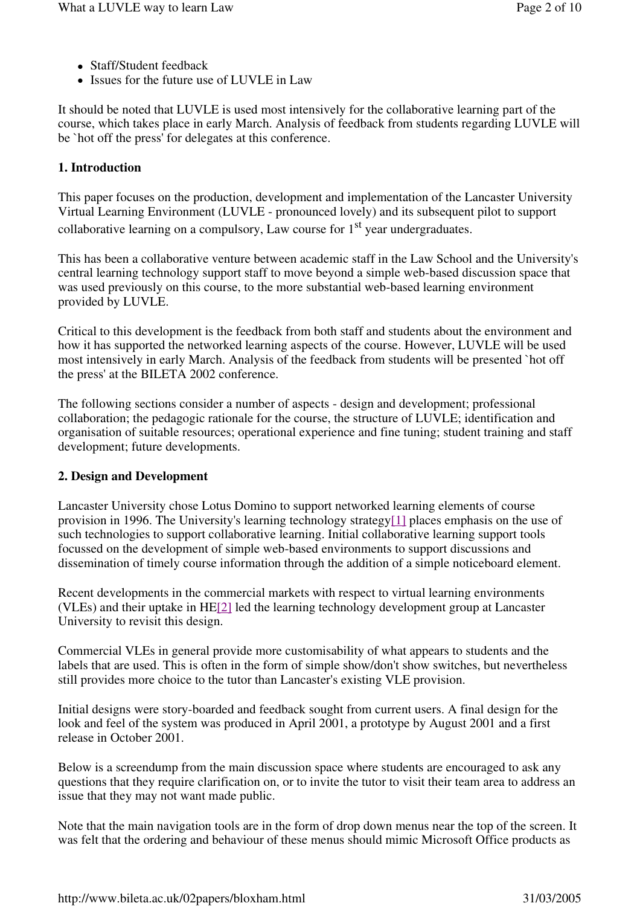- Staff/Student feedback
- Issues for the future use of LUVLE in Law

It should be noted that LUVLE is used most intensively for the collaborative learning part of the course, which takes place in early March. Analysis of feedback from students regarding LUVLE will be `hot off the press' for delegates at this conference.

## **1. Introduction**

This paper focuses on the production, development and implementation of the Lancaster University Virtual Learning Environment (LUVLE - pronounced lovely) and its subsequent pilot to support collaborative learning on a compulsory, Law course for  $1<sup>st</sup>$  year undergraduates.

This has been a collaborative venture between academic staff in the Law School and the University's central learning technology support staff to move beyond a simple web-based discussion space that was used previously on this course, to the more substantial web-based learning environment provided by LUVLE.

Critical to this development is the feedback from both staff and students about the environment and how it has supported the networked learning aspects of the course. However, LUVLE will be used most intensively in early March. Analysis of the feedback from students will be presented `hot off the press' at the BILETA 2002 conference.

The following sections consider a number of aspects - design and development; professional collaboration; the pedagogic rationale for the course, the structure of LUVLE; identification and organisation of suitable resources; operational experience and fine tuning; student training and staff development; future developments.

#### **2. Design and Development**

Lancaster University chose Lotus Domino to support networked learning elements of course provision in 1996. The University's learning technology strategy[1] places emphasis on the use of such technologies to support collaborative learning. Initial collaborative learning support tools focussed on the development of simple web-based environments to support discussions and dissemination of timely course information through the addition of a simple noticeboard element.

Recent developments in the commercial markets with respect to virtual learning environments (VLEs) and their uptake in HE[2] led the learning technology development group at Lancaster University to revisit this design.

Commercial VLEs in general provide more customisability of what appears to students and the labels that are used. This is often in the form of simple show/don't show switches, but nevertheless still provides more choice to the tutor than Lancaster's existing VLE provision.

Initial designs were story-boarded and feedback sought from current users. A final design for the look and feel of the system was produced in April 2001, a prototype by August 2001 and a first release in October 2001.

Below is a screendump from the main discussion space where students are encouraged to ask any questions that they require clarification on, or to invite the tutor to visit their team area to address an issue that they may not want made public.

Note that the main navigation tools are in the form of drop down menus near the top of the screen. It was felt that the ordering and behaviour of these menus should mimic Microsoft Office products as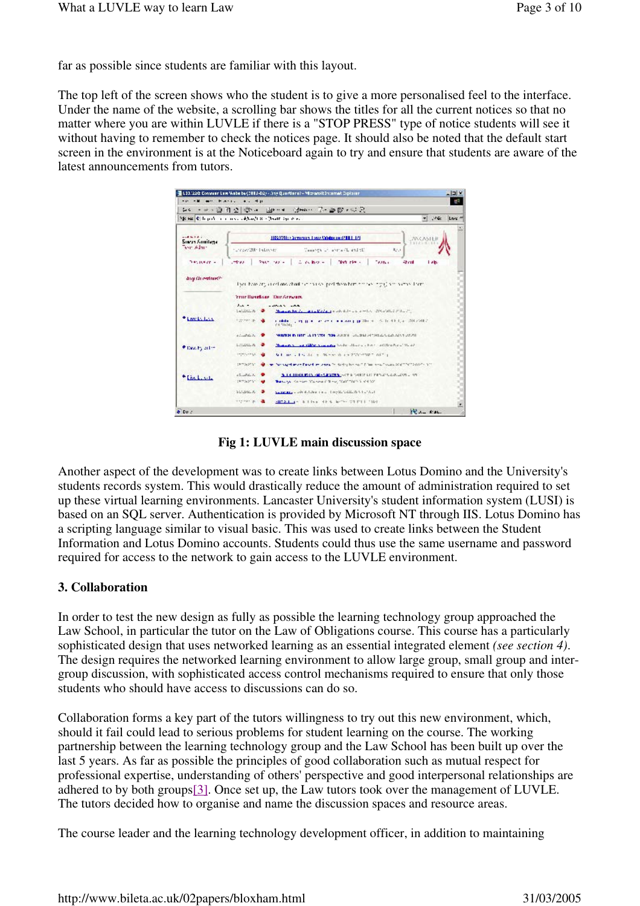far as possible since students are familiar with this layout.

The top left of the screen shows who the student is to give a more personalised feel to the interface. Under the name of the website, a scrolling bar shows the titles for all the current notices so that no matter where you are within LUVLE if there is a "STOP PRESS" type of notice students will see it without having to remember to check the notices page. It should also be noted that the default start screen in the environment is at the Noticeboard again to try and ensure that students are aware of the latest announcements from tutors.



**Fig 1: LUVLE main discussion space**

Another aspect of the development was to create links between Lotus Domino and the University's students records system. This would drastically reduce the amount of administration required to set up these virtual learning environments. Lancaster University's student information system (LUSI) is based on an SQL server. Authentication is provided by Microsoft NT through IIS. Lotus Domino has a scripting language similar to visual basic. This was used to create links between the Student Information and Lotus Domino accounts. Students could thus use the same username and password required for access to the network to gain access to the LUVLE environment.

#### **3. Collaboration**

In order to test the new design as fully as possible the learning technology group approached the Law School, in particular the tutor on the Law of Obligations course. This course has a particularly sophisticated design that uses networked learning as an essential integrated element *(see section 4)*. The design requires the networked learning environment to allow large group, small group and intergroup discussion, with sophisticated access control mechanisms required to ensure that only those students who should have access to discussions can do so.

Collaboration forms a key part of the tutors willingness to try out this new environment, which, should it fail could lead to serious problems for student learning on the course. The working partnership between the learning technology group and the Law School has been built up over the last 5 years. As far as possible the principles of good collaboration such as mutual respect for professional expertise, understanding of others' perspective and good interpersonal relationships are adhered to by both groups[3]. Once set up, the Law tutors took over the management of LUVLE. The tutors decided how to organise and name the discussion spaces and resource areas.

The course leader and the learning technology development officer, in addition to maintaining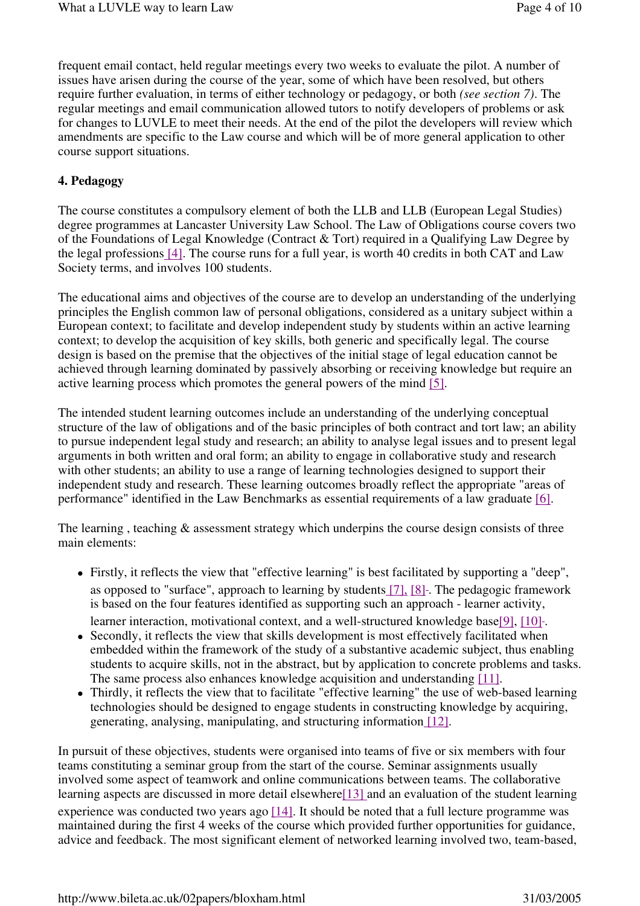frequent email contact, held regular meetings every two weeks to evaluate the pilot. A number of issues have arisen during the course of the year, some of which have been resolved, but others require further evaluation, in terms of either technology or pedagogy, or both *(see section 7)*. The regular meetings and email communication allowed tutors to notify developers of problems or ask for changes to LUVLE to meet their needs. At the end of the pilot the developers will review which amendments are specific to the Law course and which will be of more general application to other course support situations.

## **4. Pedagogy**

The course constitutes a compulsory element of both the LLB and LLB (European Legal Studies) degree programmes at Lancaster University Law School. The Law of Obligations course covers two of the Foundations of Legal Knowledge (Contract & Tort) required in a Qualifying Law Degree by the legal professions [4]. The course runs for a full year, is worth 40 credits in both CAT and Law Society terms, and involves 100 students.

The educational aims and objectives of the course are to develop an understanding of the underlying principles the English common law of personal obligations, considered as a unitary subject within a European context; to facilitate and develop independent study by students within an active learning context; to develop the acquisition of key skills, both generic and specifically legal. The course design is based on the premise that the objectives of the initial stage of legal education cannot be achieved through learning dominated by passively absorbing or receiving knowledge but require an active learning process which promotes the general powers of the mind [5].

The intended student learning outcomes include an understanding of the underlying conceptual structure of the law of obligations and of the basic principles of both contract and tort law; an ability to pursue independent legal study and research; an ability to analyse legal issues and to present legal arguments in both written and oral form; an ability to engage in collaborative study and research with other students; an ability to use a range of learning technologies designed to support their independent study and research. These learning outcomes broadly reflect the appropriate "areas of performance" identified in the Law Benchmarks as essential requirements of a law graduate [6].

The learning, teaching & assessment strategy which underpins the course design consists of three main elements:

- Firstly, it reflects the view that "effective learning" is best facilitated by supporting a "deep", as opposed to "surface", approach to learning by students  $[7]$ ,  $[8]$ . The pedagogic framework is based on the four features identified as supporting such an approach - learner activity, learner interaction, motivational context, and a well-structured knowledge base[9], [10].
- Secondly, it reflects the view that skills development is most effectively facilitated when embedded within the framework of the study of a substantive academic subject, thus enabling students to acquire skills, not in the abstract, but by application to concrete problems and tasks. The same process also enhances knowledge acquisition and understanding [11].
- Thirdly, it reflects the view that to facilitate "effective learning" the use of web-based learning technologies should be designed to engage students in constructing knowledge by acquiring, generating, analysing, manipulating, and structuring information [12].

In pursuit of these objectives, students were organised into teams of five or six members with four teams constituting a seminar group from the start of the course. Seminar assignments usually involved some aspect of teamwork and online communications between teams. The collaborative learning aspects are discussed in more detail elsewhere[13] and an evaluation of the student learning experience was conducted two years ago [14]. It should be noted that a full lecture programme was maintained during the first 4 weeks of the course which provided further opportunities for guidance, advice and feedback. The most significant element of networked learning involved two, team-based,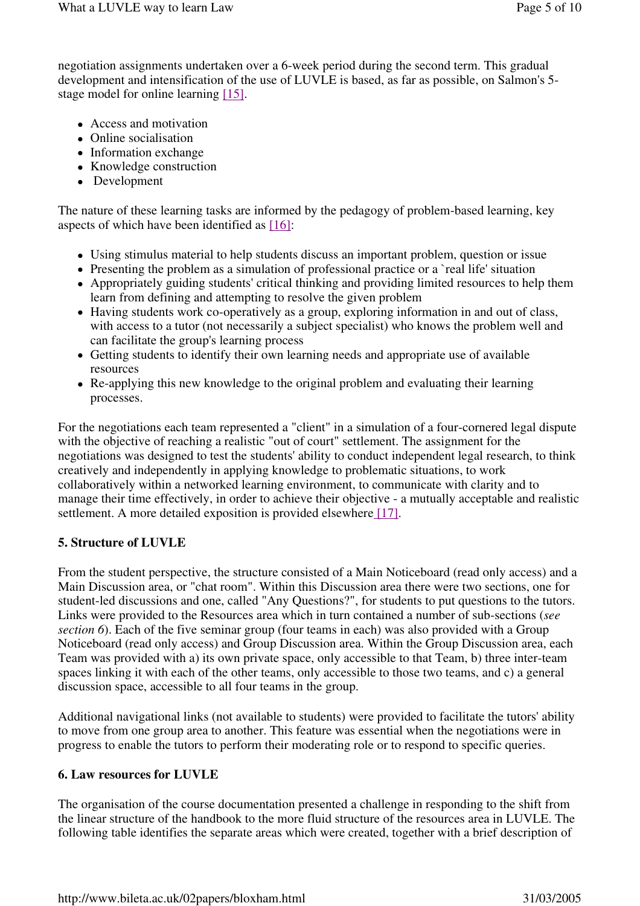negotiation assignments undertaken over a 6-week period during the second term. This gradual development and intensification of the use of LUVLE is based, as far as possible, on Salmon's 5 stage model for online learning [15].

- Access and motivation
- Online socialisation
- Information exchange
- Knowledge construction
- Development

The nature of these learning tasks are informed by the pedagogy of problem-based learning, key aspects of which have been identified as [16]:

- Using stimulus material to help students discuss an important problem, question or issue
- Presenting the problem as a simulation of professional practice or a `real life' situation
- Appropriately guiding students' critical thinking and providing limited resources to help them learn from defining and attempting to resolve the given problem
- Having students work co-operatively as a group, exploring information in and out of class, with access to a tutor (not necessarily a subject specialist) who knows the problem well and can facilitate the group's learning process
- Getting students to identify their own learning needs and appropriate use of available resources
- Re-applying this new knowledge to the original problem and evaluating their learning processes.

For the negotiations each team represented a "client" in a simulation of a four-cornered legal dispute with the objective of reaching a realistic "out of court" settlement. The assignment for the negotiations was designed to test the students' ability to conduct independent legal research, to think creatively and independently in applying knowledge to problematic situations, to work collaboratively within a networked learning environment, to communicate with clarity and to manage their time effectively, in order to achieve their objective - a mutually acceptable and realistic settlement. A more detailed exposition is provided elsewhere [17].

## **5. Structure of LUVLE**

From the student perspective, the structure consisted of a Main Noticeboard (read only access) and a Main Discussion area, or "chat room". Within this Discussion area there were two sections, one for student-led discussions and one, called "Any Questions?", for students to put questions to the tutors. Links were provided to the Resources area which in turn contained a number of sub-sections (*see section 6*). Each of the five seminar group (four teams in each) was also provided with a Group Noticeboard (read only access) and Group Discussion area. Within the Group Discussion area, each Team was provided with a) its own private space, only accessible to that Team, b) three inter-team spaces linking it with each of the other teams, only accessible to those two teams, and c) a general discussion space, accessible to all four teams in the group.

Additional navigational links (not available to students) were provided to facilitate the tutors' ability to move from one group area to another. This feature was essential when the negotiations were in progress to enable the tutors to perform their moderating role or to respond to specific queries.

#### **6. Law resources for LUVLE**

The organisation of the course documentation presented a challenge in responding to the shift from the linear structure of the handbook to the more fluid structure of the resources area in LUVLE. The following table identifies the separate areas which were created, together with a brief description of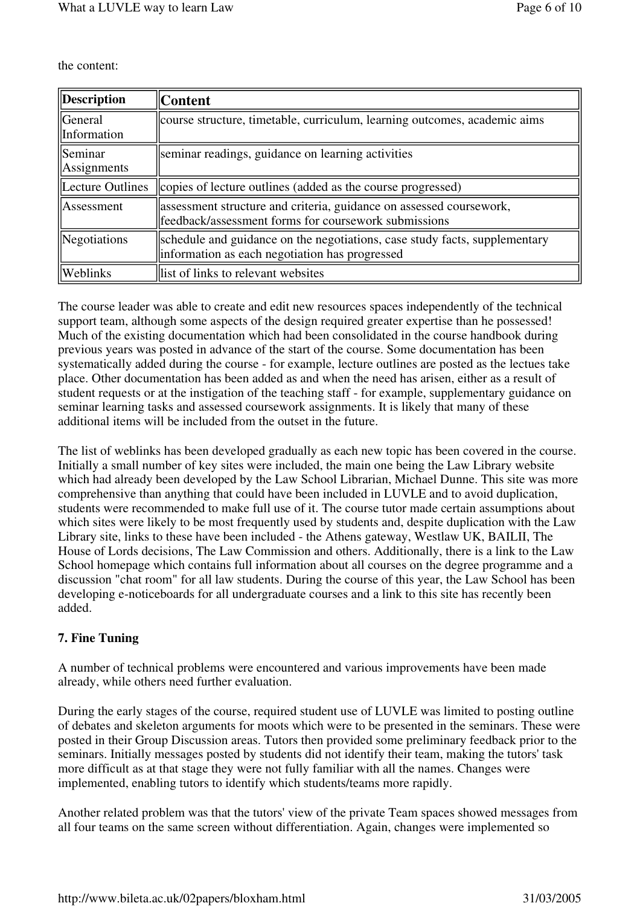the content:

| Description                   | Content                                                                                                                      |
|-------------------------------|------------------------------------------------------------------------------------------------------------------------------|
| General<br><b>Information</b> | course structure, timetable, curriculum, learning outcomes, academic aims                                                    |
| llSeminar<br>Assignments      | seminar readings, guidance on learning activities                                                                            |
| Lecture Outlines              | copies of lecture outlines (added as the course progressed)                                                                  |
| <b>Assessment</b>             | assessment structure and criteria, guidance on assessed coursework,<br>lfeedback/assessment forms for coursework submissions |
| Negotiations                  | schedule and guidance on the negotiations, case study facts, supplementary<br>information as each negotiation has progressed |
| <b>Weblinks</b>               | list of links to relevant websites                                                                                           |

The course leader was able to create and edit new resources spaces independently of the technical support team, although some aspects of the design required greater expertise than he possessed! Much of the existing documentation which had been consolidated in the course handbook during previous years was posted in advance of the start of the course. Some documentation has been systematically added during the course - for example, lecture outlines are posted as the lectues take place. Other documentation has been added as and when the need has arisen, either as a result of student requests or at the instigation of the teaching staff - for example, supplementary guidance on seminar learning tasks and assessed coursework assignments. It is likely that many of these additional items will be included from the outset in the future.

The list of weblinks has been developed gradually as each new topic has been covered in the course. Initially a small number of key sites were included, the main one being the Law Library website which had already been developed by the Law School Librarian, Michael Dunne. This site was more comprehensive than anything that could have been included in LUVLE and to avoid duplication, students were recommended to make full use of it. The course tutor made certain assumptions about which sites were likely to be most frequently used by students and, despite duplication with the Law Library site, links to these have been included - the Athens gateway, Westlaw UK, BAILII, The House of Lords decisions, The Law Commission and others. Additionally, there is a link to the Law School homepage which contains full information about all courses on the degree programme and a discussion "chat room" for all law students. During the course of this year, the Law School has been developing e-noticeboards for all undergraduate courses and a link to this site has recently been added.

#### **7. Fine Tuning**

A number of technical problems were encountered and various improvements have been made already, while others need further evaluation.

During the early stages of the course, required student use of LUVLE was limited to posting outline of debates and skeleton arguments for moots which were to be presented in the seminars. These were posted in their Group Discussion areas. Tutors then provided some preliminary feedback prior to the seminars. Initially messages posted by students did not identify their team, making the tutors' task more difficult as at that stage they were not fully familiar with all the names. Changes were implemented, enabling tutors to identify which students/teams more rapidly.

Another related problem was that the tutors' view of the private Team spaces showed messages from all four teams on the same screen without differentiation. Again, changes were implemented so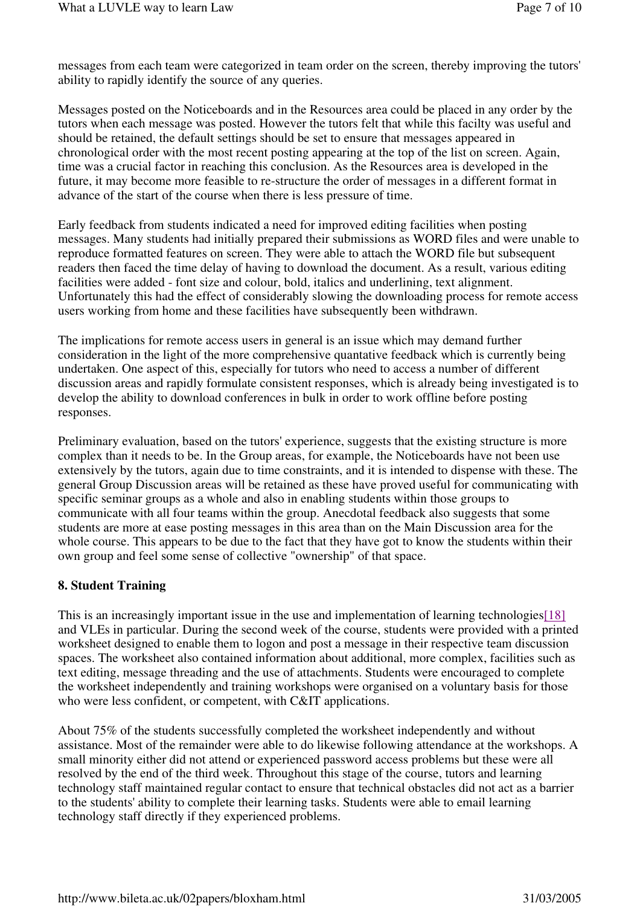messages from each team were categorized in team order on the screen, thereby improving the tutors' ability to rapidly identify the source of any queries.

Messages posted on the Noticeboards and in the Resources area could be placed in any order by the tutors when each message was posted. However the tutors felt that while this facilty was useful and should be retained, the default settings should be set to ensure that messages appeared in chronological order with the most recent posting appearing at the top of the list on screen. Again, time was a crucial factor in reaching this conclusion. As the Resources area is developed in the future, it may become more feasible to re-structure the order of messages in a different format in advance of the start of the course when there is less pressure of time.

Early feedback from students indicated a need for improved editing facilities when posting messages. Many students had initially prepared their submissions as WORD files and were unable to reproduce formatted features on screen. They were able to attach the WORD file but subsequent readers then faced the time delay of having to download the document. As a result, various editing facilities were added - font size and colour, bold, italics and underlining, text alignment. Unfortunately this had the effect of considerably slowing the downloading process for remote access users working from home and these facilities have subsequently been withdrawn.

The implications for remote access users in general is an issue which may demand further consideration in the light of the more comprehensive quantative feedback which is currently being undertaken. One aspect of this, especially for tutors who need to access a number of different discussion areas and rapidly formulate consistent responses, which is already being investigated is to develop the ability to download conferences in bulk in order to work offline before posting responses.

Preliminary evaluation, based on the tutors' experience, suggests that the existing structure is more complex than it needs to be. In the Group areas, for example, the Noticeboards have not been use extensively by the tutors, again due to time constraints, and it is intended to dispense with these. The general Group Discussion areas will be retained as these have proved useful for communicating with specific seminar groups as a whole and also in enabling students within those groups to communicate with all four teams within the group. Anecdotal feedback also suggests that some students are more at ease posting messages in this area than on the Main Discussion area for the whole course. This appears to be due to the fact that they have got to know the students within their own group and feel some sense of collective "ownership" of that space.

#### **8. Student Training**

This is an increasingly important issue in the use and implementation of learning technologies[18] and VLEs in particular. During the second week of the course, students were provided with a printed worksheet designed to enable them to logon and post a message in their respective team discussion spaces. The worksheet also contained information about additional, more complex, facilities such as text editing, message threading and the use of attachments. Students were encouraged to complete the worksheet independently and training workshops were organised on a voluntary basis for those who were less confident, or competent, with C&IT applications.

About 75% of the students successfully completed the worksheet independently and without assistance. Most of the remainder were able to do likewise following attendance at the workshops. A small minority either did not attend or experienced password access problems but these were all resolved by the end of the third week. Throughout this stage of the course, tutors and learning technology staff maintained regular contact to ensure that technical obstacles did not act as a barrier to the students' ability to complete their learning tasks. Students were able to email learning technology staff directly if they experienced problems.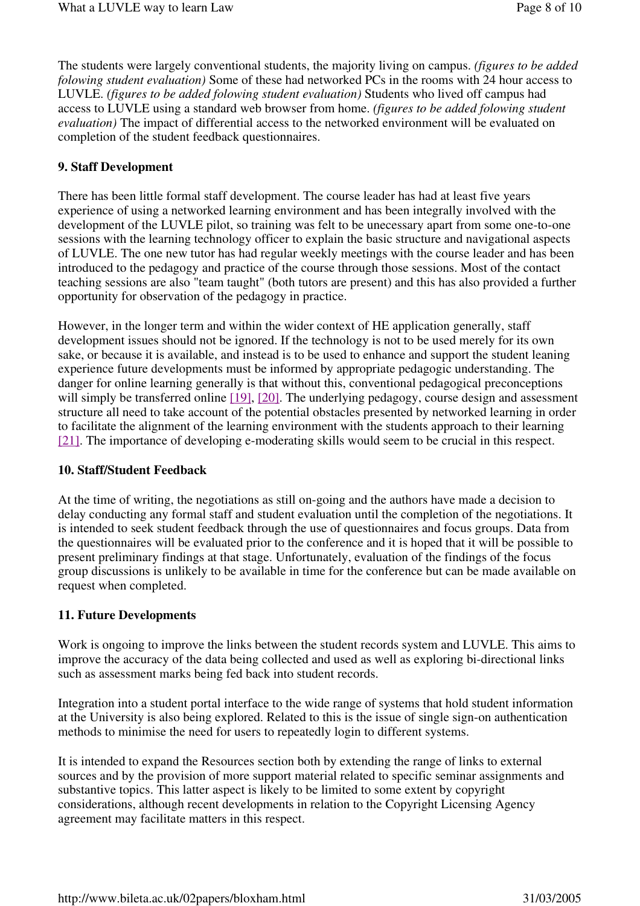The students were largely conventional students, the majority living on campus. *(figures to be added folowing student evaluation)* Some of these had networked PCs in the rooms with 24 hour access to LUVLE. *(figures to be added folowing student evaluation)* Students who lived off campus had access to LUVLE using a standard web browser from home. *(figures to be added folowing student evaluation)* The impact of differential access to the networked environment will be evaluated on completion of the student feedback questionnaires.

## **9. Staff Development**

There has been little formal staff development. The course leader has had at least five years experience of using a networked learning environment and has been integrally involved with the development of the LUVLE pilot, so training was felt to be unecessary apart from some one-to-one sessions with the learning technology officer to explain the basic structure and navigational aspects of LUVLE. The one new tutor has had regular weekly meetings with the course leader and has been introduced to the pedagogy and practice of the course through those sessions. Most of the contact teaching sessions are also "team taught" (both tutors are present) and this has also provided a further opportunity for observation of the pedagogy in practice.

However, in the longer term and within the wider context of HE application generally, staff development issues should not be ignored. If the technology is not to be used merely for its own sake, or because it is available, and instead is to be used to enhance and support the student leaning experience future developments must be informed by appropriate pedagogic understanding. The danger for online learning generally is that without this, conventional pedagogical preconceptions will simply be transferred online [19], [20]. The underlying pedagogy, course design and assessment structure all need to take account of the potential obstacles presented by networked learning in order to facilitate the alignment of the learning environment with the students approach to their learning [21]. The importance of developing e-moderating skills would seem to be crucial in this respect.

## **10. Staff/Student Feedback**

At the time of writing, the negotiations as still on-going and the authors have made a decision to delay conducting any formal staff and student evaluation until the completion of the negotiations. It is intended to seek student feedback through the use of questionnaires and focus groups. Data from the questionnaires will be evaluated prior to the conference and it is hoped that it will be possible to present preliminary findings at that stage. Unfortunately, evaluation of the findings of the focus group discussions is unlikely to be available in time for the conference but can be made available on request when completed.

## **11. Future Developments**

Work is ongoing to improve the links between the student records system and LUVLE. This aims to improve the accuracy of the data being collected and used as well as exploring bi-directional links such as assessment marks being fed back into student records.

Integration into a student portal interface to the wide range of systems that hold student information at the University is also being explored. Related to this is the issue of single sign-on authentication methods to minimise the need for users to repeatedly login to different systems.

It is intended to expand the Resources section both by extending the range of links to external sources and by the provision of more support material related to specific seminar assignments and substantive topics. This latter aspect is likely to be limited to some extent by copyright considerations, although recent developments in relation to the Copyright Licensing Agency agreement may facilitate matters in this respect.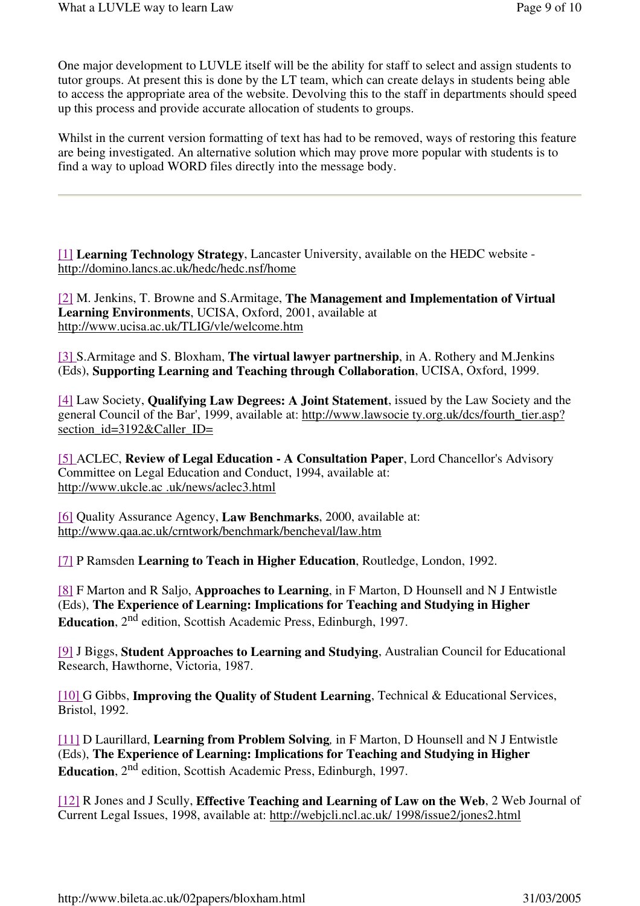One major development to LUVLE itself will be the ability for staff to select and assign students to tutor groups. At present this is done by the LT team, which can create delays in students being able to access the appropriate area of the website. Devolving this to the staff in departments should speed up this process and provide accurate allocation of students to groups.

Whilst in the current version formatting of text has had to be removed, ways of restoring this feature are being investigated. An alternative solution which may prove more popular with students is to find a way to upload WORD files directly into the message body.

[1] **Learning Technology Strategy**, Lancaster University, available on the HEDC website http://domino.lancs.ac.uk/hedc/hedc.nsf/home

[2] M. Jenkins, T. Browne and S.Armitage, **The Management and Implementation of Virtual Learning Environments**, UCISA, Oxford, 2001, available at http://www.ucisa.ac.uk/TLIG/vle/welcome.htm

[3] S.Armitage and S. Bloxham, **The virtual lawyer partnership**, in A. Rothery and M.Jenkins (Eds), **Supporting Learning and Teaching through Collaboration**, UCISA, Oxford, 1999.

[4] Law Society, **Qualifying Law Degrees: A Joint Statement**, issued by the Law Society and the general Council of the Bar', 1999, available at: http://www.lawsocie ty.org.uk/dcs/fourth\_tier.asp? section\_id=3192&Caller\_ID=

[5] ACLEC, **Review of Legal Education - A Consultation Paper**, Lord Chancellor's Advisory Committee on Legal Education and Conduct, 1994, available at: http://www.ukcle.ac .uk/news/aclec3.html

[6] Quality Assurance Agency, **Law Benchmarks**, 2000, available at: http://www.qaa.ac.uk/crntwork/benchmark/bencheval/law.htm

[7] P Ramsden **Learning to Teach in Higher Education**, Routledge, London, 1992.

[8] F Marton and R Saljo, **Approaches to Learning**, in F Marton, D Hounsell and N J Entwistle (Eds), **The Experience of Learning: Implications for Teaching and Studying in Higher Education**, 2nd edition, Scottish Academic Press, Edinburgh, 1997.

[9] J Biggs, **Student Approaches to Learning and Studying**, Australian Council for Educational Research, Hawthorne, Victoria, 1987.

[10] G Gibbs, **Improving the Quality of Student Learning**, Technical & Educational Services, Bristol, 1992.

[11] D Laurillard, **Learning from Problem Solving***,* in F Marton, D Hounsell and N J Entwistle (Eds), **The Experience of Learning: Implications for Teaching and Studying in Higher Education**, 2nd edition, Scottish Academic Press, Edinburgh, 1997.

[12] R Jones and J Scully, **Effective Teaching and Learning of Law on the Web**, 2 Web Journal of Current Legal Issues, 1998, available at: http://webjcli.ncl.ac.uk/ 1998/issue2/jones2.html